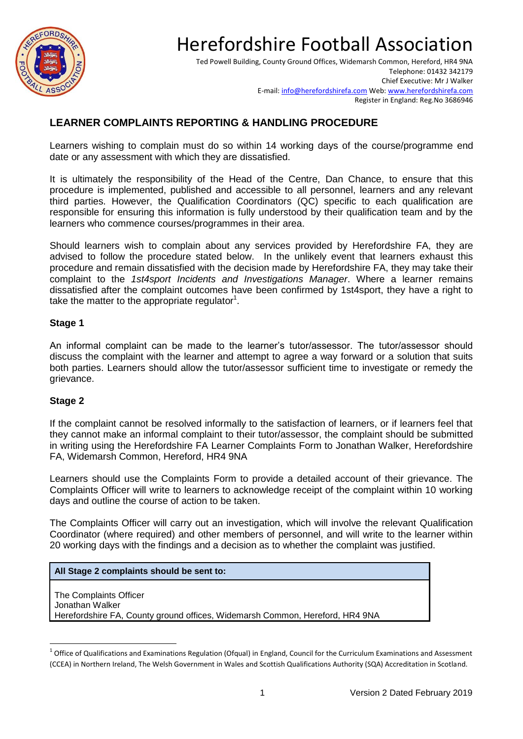

# Herefordshire Football Association

Ted Powell Building, County Ground Offices, Widemarsh Common, Hereford, HR4 9NA Telephone: 01432 342179 Chief Executive: Mr J Walker E-mail[: info@herefordshirefa.com](mailto:info@herefordshirefa.com) Web: [www.herefordshirefa.com](http://www.herefordshirefa.com/) Register in England: Reg.No 3686946

## **LEARNER COMPLAINTS REPORTING & HANDLING PROCEDURE**

Learners wishing to complain must do so within 14 working days of the course/programme end date or any assessment with which they are dissatisfied.

It is ultimately the responsibility of the Head of the Centre, Dan Chance, to ensure that this procedure is implemented, published and accessible to all personnel, learners and any relevant third parties. However, the Qualification Coordinators (QC) specific to each qualification are responsible for ensuring this information is fully understood by their qualification team and by the learners who commence courses/programmes in their area.

Should learners wish to complain about any services provided by Herefordshire FA, they are advised to follow the procedure stated below. In the unlikely event that learners exhaust this procedure and remain dissatisfied with the decision made by Herefordshire FA, they may take their complaint to the *1st4sport Incidents and Investigations Manager*. Where a learner remains dissatisfied after the complaint outcomes have been confirmed by 1st4sport, they have a right to take the matter to the appropriate regulator $1$ .

#### **Stage 1**

An informal complaint can be made to the learner's tutor/assessor. The tutor/assessor should discuss the complaint with the learner and attempt to agree a way forward or a solution that suits both parties. Learners should allow the tutor/assessor sufficient time to investigate or remedy the grievance.

### **Stage 2**

**.** 

If the complaint cannot be resolved informally to the satisfaction of learners, or if learners feel that they cannot make an informal complaint to their tutor/assessor, the complaint should be submitted in writing using the Herefordshire FA Learner Complaints Form to Jonathan Walker, Herefordshire FA, Widemarsh Common, Hereford, HR4 9NA

Learners should use the Complaints Form to provide a detailed account of their grievance. The Complaints Officer will write to learners to acknowledge receipt of the complaint within 10 working days and outline the course of action to be taken.

The Complaints Officer will carry out an investigation, which will involve the relevant Qualification Coordinator (where required) and other members of personnel, and will write to the learner within 20 working days with the findings and a decision as to whether the complaint was justified.

#### **All Stage 2 complaints should be sent to:**

The Complaints Officer Jonathan Walker Herefordshire FA, County ground offices, Widemarsh Common, Hereford, HR4 9NA

 $^1$  Office of Qualifications and Examinations Regulation (Ofqual) in England, Council for the Curriculum Examinations and Assessment (CCEA) in Northern Ireland, The Welsh Government in Wales and Scottish Qualifications Authority (SQA) Accreditation in Scotland.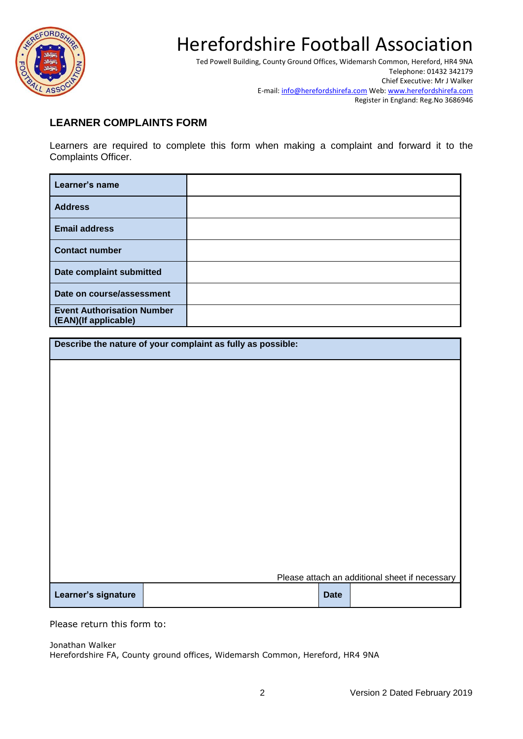

# Herefordshire Football Association

Ted Powell Building, County Ground Offices, Widemarsh Common, Hereford, HR4 9NA Telephone: 01432 342179 Chief Executive: Mr J Walker E-mail[: info@herefordshirefa.com](mailto:info@herefordshirefa.com) Web: [www.herefordshirefa.com](http://www.herefordshirefa.com/) Register in England: Reg.No 3686946

## **LEARNER COMPLAINTS FORM**

Learners are required to complete this form when making a complaint and forward it to the Complaints Officer.

| Learner's name                                            |  |
|-----------------------------------------------------------|--|
| <b>Address</b>                                            |  |
| <b>Email address</b>                                      |  |
| <b>Contact number</b>                                     |  |
| Date complaint submitted                                  |  |
| Date on course/assessment                                 |  |
| <b>Event Authorisation Number</b><br>(EAN)(If applicable) |  |

**Describe the nature of your complaint as fully as possible:**

|                     |  |             | Please attach an additional sheet if necessary |
|---------------------|--|-------------|------------------------------------------------|
| Learner's signature |  | <b>Date</b> |                                                |

Please return this form to:

Jonathan Walker

Herefordshire FA, County ground offices, Widemarsh Common, Hereford, HR4 9NA